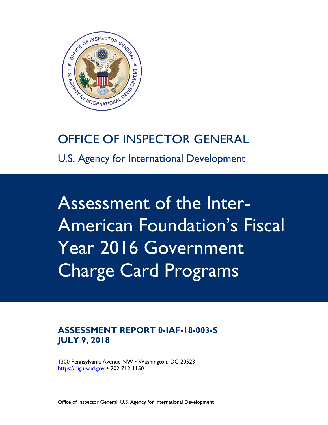

# OFFICE OF INSPECTOR GENERAL

U.S. Agency for International Development

Assessment of the Inter-American Foundation's Fiscal Year 2016 Government Charge Card Programs

### **ASSESSMENT REPORT 0-IAF-18-003-S JULY 9, 2018**

1300 Pennsylvania Avenue NW • Washington, DC 20523 [https://oig.usaid.gov](https://oig.usaid.gov/) • 202-712-1150

Office of Inspector General, U.S. Agency for International Development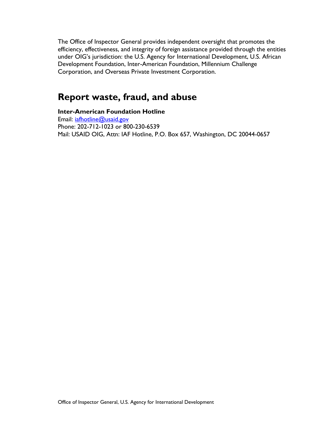The Office of Inspector General provides independent oversight that promotes the efficiency, effectiveness, and integrity of foreign assistance provided through the entities under OIG's jurisdiction: the U.S. Agency for International Development, U.S. African Development Foundation, Inter-American Foundation, Millennium Challenge Corporation, and Overseas Private Investment Corporation.

# **Report waste, fraud, and abuse**

**Inter-American Foundation Hotline** Email: [iafhotline@usaid.gov](mailto:iafhotline@usaid.gov) Phone: 202-712-1023 or 800-230-6539 Mail: USAID OIG, Attn: IAF Hotline, P.O. Box 657, Washington, DC 20044-0657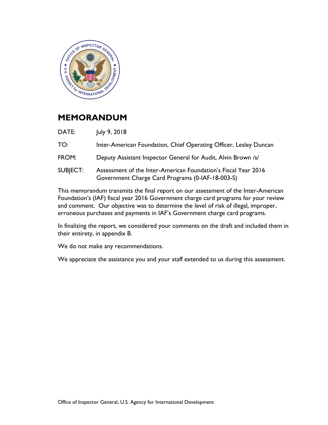

### **MEMORANDUM**

- DATE: July 9, 2018
- TO: Inter-American Foundation, Chief Operating Officer, Lesley Duncan
- FROM: Deputy Assistant Inspector General for Audit, Alvin Brown /s/
- SUBJECT: Assessment of the Inter-American Foundation's Fiscal Year 2016 Government Charge Card Programs (0-IAF-18-003-S)

This memorandum transmits the final report on our assessment of the Inter-American Foundation's (IAF) fiscal year 2016 Government charge card programs for your review and comment. Our objective was to determine the level of risk of illegal, improper, erroneous purchases and payments in IAF's Government charge card programs.

In finalizing the report, we considered your comments on the draft and included them in their entirety, in appendix B.

We do not make any recommendations.

We appreciate the assistance you and your staff extended to us during this assessment.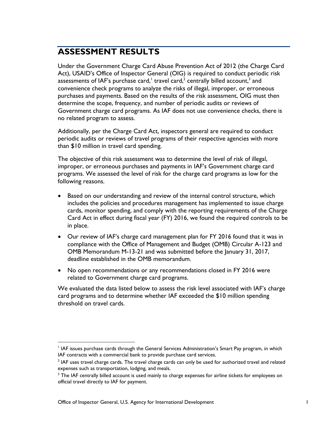# **ASSESSMENT RESULTS**

Under the Government Charge Card Abuse Prevention Act of 2012 (the Charge Card Act), USAID's Office of Inspector General (OIG) is required to conduct periodic risk assessments of IAF's purchase card, $^\text{!}$  travel card, $^{\text{2}}$  centrally billed account, $^{\text{3}}$  and convenience check programs to analyze the risks of illegal, improper, or erroneous purchases and payments. Based on the results of the risk assessment, OIG must then determine the scope, frequency, and number of periodic audits or reviews of Government charge card programs. As IAF does not use convenience checks, there is no related program to assess.

Additionally, per the Charge Card Act, inspectors general are required to conduct periodic audits or reviews of travel programs of their respective agencies with more than \$10 million in travel card spending.

The objective of this risk assessment was to determine the level of risk of illegal, improper, or erroneous purchases and payments in IAF's Government charge card programs. We assessed the level of risk for the charge card programs as low for the following reasons.

- Based on our understanding and review of the internal control structure, which includes the policies and procedures management has implemented to issue charge cards, monitor spending, and comply with the reporting requirements of the Charge Card Act in effect during fiscal year (FY) 2016, we found the required controls to be in place.
- Our review of IAF's charge card management plan for FY 2016 found that it was in compliance with the Office of Management and Budget (OMB) Circular A-123 and OMB Memorandum M-13-21 and was submitted before the January 31, 2017, deadline established in the OMB memorandum.
- No open recommendations or any recommendations closed in FY 2016 were related to Government charge card programs.

We evaluated the data listed below to assess the risk level associated with IAF's charge card programs and to determine whether IAF exceeded the \$10 million spending threshold on travel cards.

 $\overline{a}$ 

<sup>&</sup>lt;sup>1</sup> IAF issues purchase cards through the General Services Administration's Smart Pay program, in which IAF contracts with a commercial bank to provide purchase card services.

 $^2$  IAF uses travel charge cards. The travel charge cards can only be used for authorized travel and related expenses such as transportation, lodging, and meals.

<sup>&</sup>lt;sup>3</sup> The IAF centrally billed account is used mainly to charge expenses for airline tickets for employees on official travel directly to IAF for payment.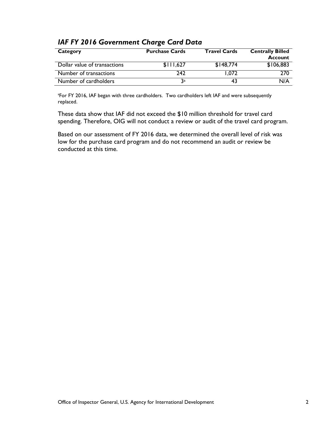| Category                     | <b>Purchase Cards</b> | <b>Travel Cards</b> | <b>Centrally Billed</b><br><b>Account</b> |
|------------------------------|-----------------------|---------------------|-------------------------------------------|
| Dollar value of transactions | \$111.627             | \$148,774           | \$106,883                                 |
| Number of transactions       | 242                   | 1.072               | 270                                       |
| Number of cardholders        | 3a                    | 43                  | N/A                                       |

#### *IAF FY 2016 Government Charge Card Data*

<sup>a</sup>For FY 2016, IAF began with three cardholders. Two cardholders left IAF and were subsequently replaced.

These data show that IAF did not exceed the \$10 million threshold for travel card spending. Therefore, OIG will not conduct a review or audit of the travel card program.

Based on our assessment of FY 2016 data, we determined the overall level of risk was low for the purchase card program and do not recommend an audit or review be conducted at this time.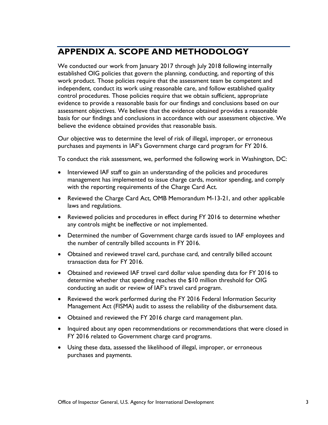# **APPENDIX A. SCOPE AND METHODOLOGY**

We conducted our work from January 2017 through July 2018 following internally established OIG policies that govern the planning, conducting, and reporting of this work product. Those policies require that the assessment team be competent and independent, conduct its work using reasonable care, and follow established quality control procedures. Those policies require that we obtain sufficient, appropriate evidence to provide a reasonable basis for our findings and conclusions based on our assessment objectives. We believe that the evidence obtained provides a reasonable basis for our findings and conclusions in accordance with our assessment objective. We believe the evidence obtained provides that reasonable basis.

Our objective was to determine the level of risk of illegal, improper, or erroneous purchases and payments in IAF's Government charge card program for FY 2016.

To conduct the risk assessment, we, performed the following work in Washington, DC:

- Interviewed IAF staff to gain an understanding of the policies and procedures management has implemented to issue charge cards, monitor spending, and comply with the reporting requirements of the Charge Card Act.
- Reviewed the Charge Card Act, OMB Memorandum M-13-21, and other applicable laws and regulations.
- Reviewed policies and procedures in effect during FY 2016 to determine whether any controls might be ineffective or not implemented.
- Determined the number of Government charge cards issued to IAF employees and the number of centrally billed accounts in FY 2016.
- Obtained and reviewed travel card, purchase card, and centrally billed account transaction data for FY 2016.
- Obtained and reviewed IAF travel card dollar value spending data for FY 2016 to determine whether that spending reaches the \$10 million threshold for OIG conducting an audit or review of IAF's travel card program.
- Reviewed the work performed during the FY 2016 Federal Information Security Management Act (FISMA) audit to assess the reliability of the disbursement data.
- Obtained and reviewed the FY 2016 charge card management plan.
- Inquired about any open recommendations or recommendations that were closed in FY 2016 related to Government charge card programs.
- Using these data, assessed the likelihood of illegal, improper, or erroneous purchases and payments.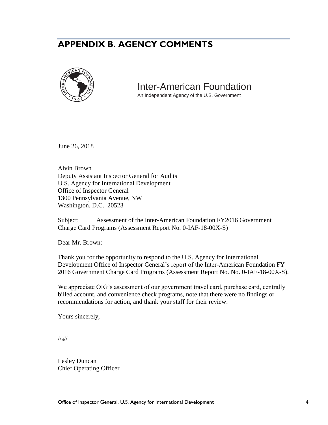## **APPENDIX B. AGENCY COMMENTS**



### Inter-American Foundation

An Independent Agency of the U.S. Government

June 26, 2018

Alvin Brown Deputy Assistant Inspector General for Audits U.S. Agency for International Development Office of Inspector General 1300 Pennsylvania Avenue, NW Washington, D.C. 20523

Subject: Assessment of the Inter-American Foundation FY2016 Government Charge Card Programs (Assessment Report No. 0-IAF-18-00X-S)

Dear Mr. Brown:

Thank you for the opportunity to respond to the U.S. Agency for International Development Office of Inspector General's report of the Inter-American Foundation FY 2016 Government Charge Card Programs (Assessment Report No. No. 0-IAF-18-00X-S).

We appreciate OIG's assessment of our government travel card, purchase card, centrally billed account, and convenience check programs, note that there were no findings or recommendations for action, and thank your staff for their review.

Yours sincerely,

//s//

Lesley Duncan Chief Operating Officer